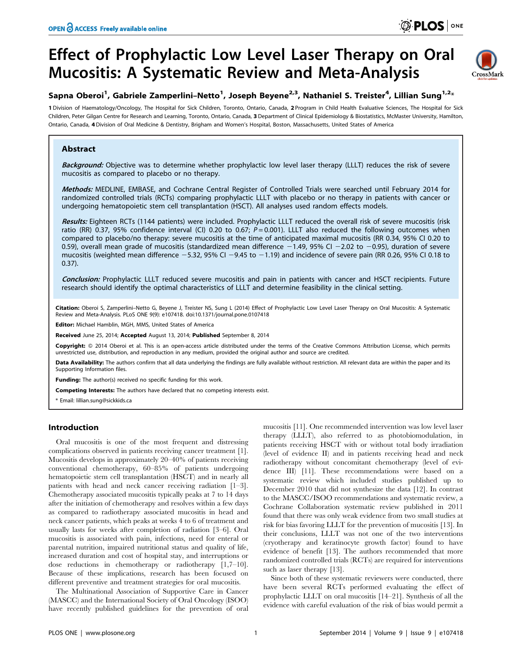# Effect of Prophylactic Low Level Laser Therapy on Oral Mucositis: A Systematic Review and Meta-Analysis



## Sapna Oberoi<sup>1</sup>, Gabriele Zamperlini–Netto<sup>1</sup>, Joseph Beyene<sup>2,3</sup>, Nathaniel S. Treister<sup>4</sup>, Lillian Sung<sup>1,2</sup>\*

1 Division of Haematology/Oncology, The Hospital for Sick Children, Toronto, Ontario, Canada, 2 Program in Child Health Evaluative Sciences, The Hospital for Sick Children, Peter Gilgan Centre for Research and Learning, Toronto, Ontario, Canada, 3 Department of Clinical Epidemiology & Biostatistics, McMaster University, Hamilton, Ontario, Canada, 4Division of Oral Medicine & Dentistry, Brigham and Women's Hospital, Boston, Massachusetts, United States of America

## Abstract

Background: Objective was to determine whether prophylactic low level laser therapy (LLLT) reduces the risk of severe mucositis as compared to placebo or no therapy.

Methods: MEDLINE, EMBASE, and Cochrane Central Register of Controlled Trials were searched until February 2014 for randomized controlled trials (RCTs) comparing prophylactic LLLT with placebo or no therapy in patients with cancer or undergoing hematopoietic stem cell transplantation (HSCT). All analyses used random effects models.

Results: Eighteen RCTs (1144 patients) were included. Prophylactic LLLT reduced the overall risk of severe mucositis (risk ratio (RR) 0.37, 95% confidence interval (CI) 0.20 to 0.67;  $P = 0.001$ ). LLLT also reduced the following outcomes when compared to placebo/no therapy: severe mucositis at the time of anticipated maximal mucositis (RR 0.34, 95% CI 0.20 to 0.59), overall mean grade of mucositis (standardized mean difference  $-1.49$ , 95% CI  $-2.02$  to  $-0.95$ ), duration of severe mucositis (weighted mean difference  $-5.32$ , 95% CI  $-9.45$  to  $-1.19$ ) and incidence of severe pain (RR 0.26, 95% CI 0.18 to 0.37).

Conclusion: Prophylactic LLLT reduced severe mucositis and pain in patients with cancer and HSCT recipients. Future research should identify the optimal characteristics of LLLT and determine feasibility in the clinical setting.

Citation: Oberoi S, Zamperlini-Netto G, Beyene J, Treister NS, Sung L (2014) Effect of Prophylactic Low Level Laser Therapy on Oral Mucositis: A Systematic Review and Meta-Analysis. PLoS ONE 9(9): e107418. doi:10.1371/journal.pone.0107418

Editor: Michael Hamblin, MGH, MMS, United States of America

Received June 25, 2014; Accepted August 13, 2014; Published September 8, 2014

Copyright: © 2014 Oberoi et al. This is an open-access article distributed under the terms of the [Creative Commons Attribution License](http://creativecommons.org/licenses/by/4.0/), which permits unrestricted use, distribution, and reproduction in any medium, provided the original author and source are credited.

Data Availability: The authors confirm that all data underlying the findings are fully available without restriction. All relevant data are within the paper and its Supporting Information files.

Funding: The author(s) received no specific funding for this work.

Competing Interests: The authors have declared that no competing interests exist.

\* Email: lillian.sung@sickkids.ca

## Introduction

Oral mucositis is one of the most frequent and distressing complications observed in patients receiving cancer treatment [1]. Mucositis develops in approximately 20–40% of patients receiving conventional chemotherapy, 60–85% of patients undergoing hematopoietic stem cell transplantation (HSCT) and in nearly all patients with head and neck cancer receiving radiation [1–3]. Chemotherapy associated mucositis typically peaks at 7 to 14 days after the initiation of chemotherapy and resolves within a few days as compared to radiotherapy associated mucositis in head and neck cancer patients, which peaks at weeks 4 to 6 of treatment and usually lasts for weeks after completion of radiation [3–6]. Oral mucositis is associated with pain, infections, need for enteral or parental nutrition, impaired nutritional status and quality of life, increased duration and cost of hospital stay, and interruptions or dose reductions in chemotherapy or radiotherapy [1,7–10]. Because of these implications, research has been focused on different preventive and treatment strategies for oral mucositis.

The Multinational Association of Supportive Care in Cancer (MASCC) and the International Society of Oral Oncology (ISOO) have recently published guidelines for the prevention of oral mucositis [11]. One recommended intervention was low level laser therapy (LLLT), also referred to as photobiomodulation, in patients receiving HSCT with or without total body irradiation (level of evidence II) and in patients receiving head and neck radiotherapy without concomitant chemotherapy (level of evidence III) [11]. These recommendations were based on a systematic review which included studies published up to December 2010 that did not synthesize the data [12]. In contrast to the MASCC/ISOO recommendations and systematic review, a Cochrane Collaboration systematic review published in 2011 found that there was only weak evidence from two small studies at risk for bias favoring LLLT for the prevention of mucositis [13]. In their conclusions, LLLT was not one of the two interventions (cryotherapy and keratinocyte growth factor) found to have evidence of benefit [13]. The authors recommended that more randomized controlled trials (RCTs) are required for interventions such as laser therapy [13].

Since both of these systematic reviewers were conducted, there have been several RCTs performed evaluating the effect of prophylactic LLLT on oral mucositis [14–21]. Synthesis of all the evidence with careful evaluation of the risk of bias would permit a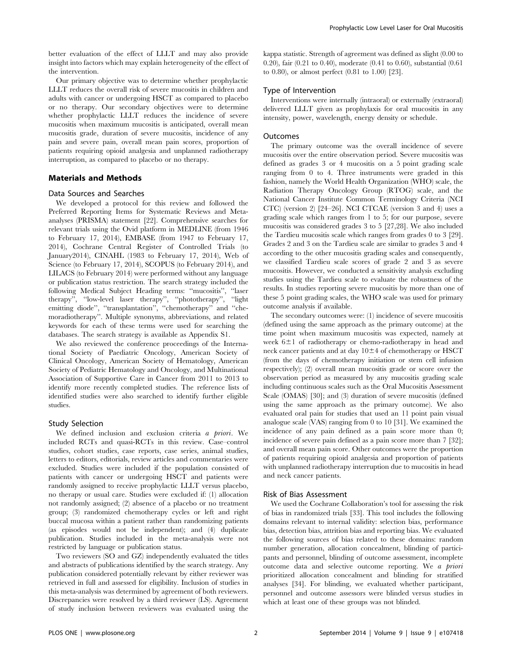better evaluation of the effect of LLLT and may also provide insight into factors which may explain heterogeneity of the effect of the intervention.

Our primary objective was to determine whether prophylactic LLLT reduces the overall risk of severe mucositis in children and adults with cancer or undergoing HSCT as compared to placebo or no therapy. Our secondary objectives were to determine whether prophylactic LLLT reduces the incidence of severe mucositis when maximum mucositis is anticipated, overall mean mucositis grade, duration of severe mucositis, incidence of any pain and severe pain, overall mean pain scores, proportion of patients requiring opioid analgesia and unplanned radiotherapy interruption, as compared to placebo or no therapy.

#### Materials and Methods

#### Data Sources and Searches

We developed a protocol for this review and followed the Preferred Reporting Items for Systematic Reviews and Metaanalyses (PRISMA) statement [22]. Comprehensive searches for relevant trials using the Ovid platform in MEDLINE (from 1946 to February 17, 2014), EMBASE (from 1947 to February 17, 2014), Cochrane Central Register of Controlled Trials (to January2014), CINAHL (1983 to February 17, 2014), Web of Science (to February 17, 2014), SCOPUS (to February 2014), and LILACS (to February 2014) were performed without any language or publication status restriction. The search strategy included the following Medical Subject Heading terms: ''mucositis'', ''laser therapy'', ''low-level laser therapy'', ''phototherapy'', ''light emitting diode", "transplantation", "chemotherapy" and "chemoradiotherapy''. Multiple synonyms, abbreviations, and related keywords for each of these terms were used for searching the databases. The search strategy is available as Appendix S1.

We also reviewed the conference proceedings of the International Society of Paediatric Oncology, American Society of Clinical Oncology, American Society of Hematology, American Society of Pediatric Hematology and Oncology, and Multinational Association of Supportive Care in Cancer from 2011 to 2013 to identify more recently completed studies. The reference lists of identified studies were also searched to identify further eligible studies.

#### Study Selection

We defined inclusion and exclusion criteria a priori. We included RCTs and quasi-RCTs in this review. Case–control studies, cohort studies, case reports, case series, animal studies, letters to editors, editorials, review articles and commentaries were excluded. Studies were included if the population consisted of patients with cancer or undergoing HSCT and patients were randomly assigned to receive prophylactic LLLT versus placebo, no therapy or usual care. Studies were excluded if: (1) allocation not randomly assigned; (2) absence of a placebo or no treatment group; (3) randomized chemotherapy cycles or left and right buccal mucosa within a patient rather than randomizing patients (as episodes would not be independent); and (4) duplicate publication. Studies included in the meta-analysis were not restricted by language or publication status.

Two reviewers (SO and GZ) independently evaluated the titles and abstracts of publications identified by the search strategy. Any publication considered potentially relevant by either reviewer was retrieved in full and assessed for eligibility. Inclusion of studies in this meta-analysis was determined by agreement of both reviewers. Discrepancies were resolved by a third reviewer (LS). Agreement of study inclusion between reviewers was evaluated using the

kappa statistic. Strength of agreement was defined as slight (0.00 to 0.20), fair (0.21 to 0.40), moderate (0.41 to 0.60), substantial (0.61 to 0.80), or almost perfect (0.81 to 1.00) [23].

#### Type of Intervention

Interventions were internally (intraoral) or externally (extraoral) delivered LLLT given as prophylaxis for oral mucositis in any intensity, power, wavelength, energy density or schedule.

#### Outcomes

The primary outcome was the overall incidence of severe mucositis over the entire observation period. Severe mucositis was defined as grades 3 or 4 mucositis on a 5 point grading scale ranging from 0 to 4. Three instruments were graded in this fashion, namely the World Health Organization (WHO) scale, the Radiation Therapy Oncology Group (RTOG) scale, and the National Cancer Institute Common Terminology Criteria (NCI CTC) (version 2) [24–26]. NCI CTCAE (version 3 and 4) uses a grading scale which ranges from 1 to 5; for our purpose, severe mucositis was considered grades 3 to 5 [27,28]. We also included the Tardieu mucositis scale which ranges from grades 0 to 3 [29]. Grades 2 and 3 on the Tardieu scale are similar to grades 3 and 4 according to the other mucositis grading scales and consequently, we classified Tardieu scale scores of grade 2 and 3 as severe mucositis. However, we conducted a sensitivity analysis excluding studies using the Tardieu scale to evaluate the robustness of the results. In studies reporting severe mucositis by more than one of these 5 point grading scales, the WHO scale was used for primary outcome analysis if available.

The secondary outcomes were: (1) incidence of severe mucositis (defined using the same approach as the primary outcome) at the time point when maximum mucositis was expected, namely at week  $6\pm1$  of radiotherapy or chemo-radiotherapy in head and neck cancer patients and at day  $10\pm4$  of chemotherapy or HSCT (from the days of chemotherapy initiation or stem cell infusion respectively); (2) overall mean mucositis grade or score over the observation period as measured by any mucositis grading scale including continuous scales such as the Oral Mucositis Assessment Scale (OMAS) [30]; and (3) duration of severe mucositis (defined using the same approach as the primary outcome). We also evaluated oral pain for studies that used an 11 point pain visual analogue scale (VAS) ranging from 0 to 10 [31]. We examined the incidence of any pain defined as a pain score more than 0; incidence of severe pain defined as a pain score more than 7 [32]; and overall mean pain score. Other outcomes were the proportion of patients requiring opioid analgesia and proportion of patients with unplanned radiotherapy interruption due to mucositis in head and neck cancer patients.

#### Risk of Bias Assessment

We used the Cochrane Collaboration's tool for assessing the risk of bias in randomized trials [33]. This tool includes the following domains relevant to internal validity: selection bias, performance bias, detection bias, attrition bias and reporting bias. We evaluated the following sources of bias related to these domains: random number generation, allocation concealment, blinding of participants and personnel, blinding of outcome assessment, incomplete outcome data and selective outcome reporting. We a priori prioritized allocation concealment and blinding for stratified analyses [34]. For blinding, we evaluated whether participant, personnel and outcome assessors were blinded versus studies in which at least one of these groups was not blinded.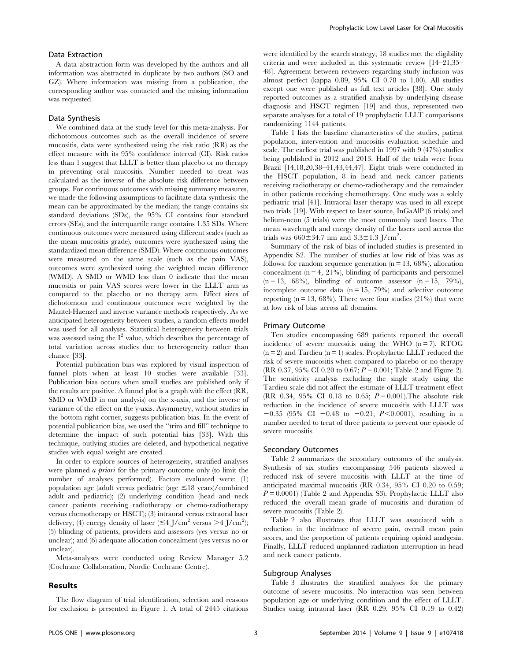## Data Extraction

A data abstraction form was developed by the authors and all information was abstracted in duplicate by two authors (SO and GZ). Where information was missing from a publication, the corresponding author was contacted and the missing information was requested.

#### Data Synthesis

We combined data at the study level for this meta-analysis. For dichotomous outcomes such as the overall incidence of severe mucositis, data were synthesized using the risk ratio (RR) as the effect measure with its 95% confidence interval (CI). Risk ratios less than 1 suggest that LLLT is better than placebo or no therapy in preventing oral mucositis. Number needed to treat was calculated as the inverse of the absolute risk difference between groups. For continuous outcomes with missing summary measures, we made the following assumptions to facilitate data synthesis: the mean can be approximated by the median; the range contains six standard deviations (SDs), the 95% CI contains four standard errors (SEs), and the interquartile range contains 1.35 SDs. Where continuous outcomes were measured using different scales (such as the mean mucositis grade), outcomes were synthesized using the standardized mean difference (SMD). Where continuous outcomes were measured on the same scale (such as the pain VAS), outcomes were synthesized using the weighted mean difference (WMD). A SMD or WMD less than 0 indicate that the mean mucositis or pain VAS scores were lower in the LLLT arm as compared to the placebo or no therapy arm. Effect sizes of dichotomous and continuous outcomes were weighted by the Mantel-Haenzel and inverse variance methods respectively. As we anticipated heterogeneity between studies, a random effects model was used for all analyses. Statistical heterogeneity between trials was assessed using the  $I^2$  value, which describes the percentage of total variation across studies due to heterogeneity rather than chance [33].

Potential publication bias was explored by visual inspection of funnel plots when at least 10 studies were available [33]. Publication bias occurs when small studies are published only if the results are positive. A funnel plot is a graph with the effect (RR, SMD or WMD in our analysis) on the x-axis, and the inverse of variance of the effect on the y-axis. Asymmetry, without studies in the bottom right corner, suggests publication bias. In the event of potential publication bias, we used the ''trim and fill'' technique to determine the impact of such potential bias [33]. With this technique, outlying studies are deleted, and hypothetical negative studies with equal weight are created.

In order to explore sources of heterogeneity, stratified analyses were planned *a priori* for the primary outcome only (to limit the number of analyses performed). Factors evaluated were: (1) population age (adult versus pediatric (age  $\leq$ 18 years)/combined adult and pediatric); (2) underlying condition (head and neck cancer patients receiving radiotherapy or chemo-radiotherapy versus chemotherapy or HSCT); (3) intraoral versus extraoral laser delivery; (4) energy density of laser ( $\leq 4$  J/cm<sup>2</sup> versus >4 J/cm<sup>2</sup>); (5) blinding of patients, providers and assessors (yes versus no or unclear); and (6) adequate allocation concealment (yes versus no or unclear).

Meta-analyses were conducted using Review Manager 5.2 (Cochrane Collaboration, Nordic Cochrane Centre).

#### Results

were identified by the search strategy; 18 studies met the eligibility criteria and were included in this systematic review [14–21,35– 48]. Agreement between reviewers regarding study inclusion was almost perfect (kappa 0.89, 95% CI 0.78 to 1.00). All studies except one were published as full text articles [38]. One study reported outcomes as a stratified analysis by underlying disease diagnosis and HSCT regimen [19] and thus, represented two separate analyses for a total of 19 prophylactic LLLT comparisons randomizing 1144 patients.

Table 1 lists the baseline characteristics of the studies, patient population, intervention and mucositis evaluation schedule and scale. The earliest trial was published in 1997 with 9 (47%) studies being published in 2012 and 2013. Half of the trials were from Brazil [14,18,20,38–41,43,44,47]. Eight trials were conducted in the HSCT population, 8 in head and neck cancer patients receiving radiotherapy or chemo-radiotherapy and the remainder in other patients receiving chemotherapy. One study was a solely pediatric trial [41]. Intraoral laser therapy was used in all except two trials [19]. With respect to laser source, InGaAlP (6 trials) and helium-neon (5 trials) were the most commonly used lasers. The mean wavelength and energy density of the lasers used across the trials was  $660 \pm 34.7$  nm and  $3.3 \pm 1.3$  J/cm<sup>2</sup>.

Summary of the risk of bias of included studies is presented in Appendix S2. The number of studies at low risk of bias was as follows: for random sequence generation  $(n = 13, 68\%)$ , allocation concealment  $(n = 4, 21\%)$ , blinding of participants and personnel  $(n = 13, 68\%)$ , blinding of outcome assessor  $(n = 15, 79\%)$ , incomplete outcome data  $(n = 15, 79%)$  and selective outcome reporting  $(n = 13, 68\%)$ . There were four studies  $(21\%)$  that were at low risk of bias across all domains.

#### Primary Outcome

Ten studies encompassing 689 patients reported the overall incidence of severe mucositis using the WHO  $(n = 7)$ , RTOG  $(n = 2)$  and Tardieu  $(n = 1)$  scales. Prophylactic LLLT reduced the risk of severe mucositis when compared to placebo or no therapy (RR 0.37, 95% CI 0.20 to 0.67;  $P = 0.001$ ; Table 2 and Figure 2). The sensitivity analysis excluding the single study using the Tardieu scale did not affect the estimate of LLLT treatment effect (RR 0.34, 95% CI 0.18 to 0.65;  $P = 0.001$ ). The absolute risk reduction in the incidence of severe mucositis with LLLT was  $-0.35$  (95% CI  $-0.48$  to  $-0.21$ ;  $P<0.0001$ ), resulting in a number needed to treat of three patients to prevent one episode of severe mucositis.

#### Secondary Outcomes

Table 2 summarizes the secondary outcomes of the analysis. Synthesis of six studies encompassing 546 patients showed a reduced risk of severe mucositis with LLLT at the time of anticipated maximal mucositis (RR 0.34, 95% CI 0.20 to 0.59;  $P = 0.0001$ ) (Table 2 and Appendix S3). Prophylactic LLLT also reduced the overall mean grade of mucositis and duration of severe mucositis (Table 2).

Table 2 also illustrates that LLLT was associated with a reduction in the incidence of severe pain, overall mean pain scores, and the proportion of patients requiring opioid analgesia. Finally, LLLT reduced unplanned radiation interruption in head and neck cancer patients.

#### Subgroup Analyses

Table 3 illustrates the stratified analyses for the primary outcome of severe mucositis. No interaction was seen between population age or underlying condition and the effect of LLLT. Studies using intraoral laser (RR 0.29, 95% CI 0.19 to 0.42)

The flow diagram of trial identification, selection and reasons for exclusion is presented in Figure 1. A total of 2445 citations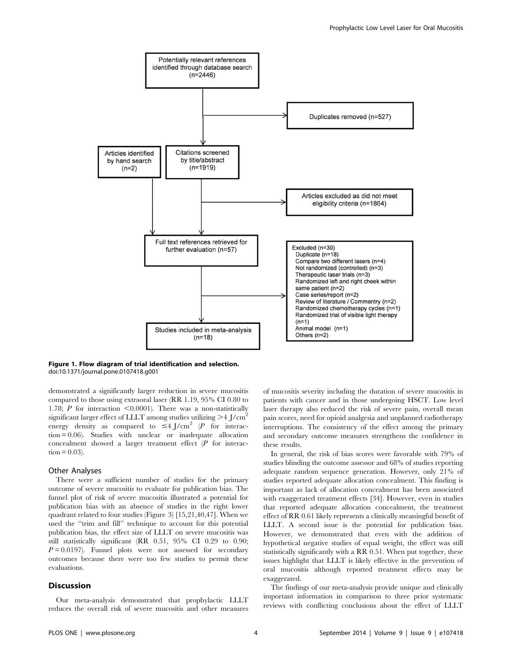

## Figure 1. Flow diagram of trial identification and selection. doi:10.1371/journal.pone.0107418.g001

demonstrated a significantly larger reduction in severe mucositis compared to those using extraoral laser (RR 1.19, 95% CI 0.80 to 1.78; P for interaction  $\leq 0.0001$ ). There was a non-statistically significant larger effect of LLLT among studies utilizing  $>4$  J/cm<sup>2</sup> energy density as compared to  $\leq 4$  J/cm<sup>2</sup> (P for interaction = 0.06). Studies with unclear or inadequate allocation concealment showed a larger treatment effect  $(P$  for interac- $\text{tion} = 0.03$ ).

#### Other Analyses

There were a sufficient number of studies for the primary outcome of severe mucositis to evaluate for publication bias. The funnel plot of risk of severe mucositis illustrated a potential for publication bias with an absence of studies in the right lower quadrant related to four studies (Figure 3) [15,21,40,47]. When we used the "trim and fill" technique to account for this potential publication bias, the effect size of LLLT on severe mucositis was still statistically significant (RR 0.51, 95% CI 0.29 to 0.90;  $P = 0.0197$ ). Funnel plots were not assessed for secondary outcomes because there were too few studies to permit these evaluations.

#### **Discussion**

Our meta-analysis demonstrated that prophylactic LLLT reduces the overall risk of severe mucositis and other measures

of mucositis severity including the duration of severe mucositis in patients with cancer and in those undergoing HSCT. Low level laser therapy also reduced the risk of severe pain, overall mean pain scores, need for opioid analgesia and unplanned radiotherapy interruptions. The consistency of the effect among the primary and secondary outcome measures strengthens the confidence in these results.

In general, the risk of bias scores were favorable with 79% of studies blinding the outcome assessor and 68% of studies reporting adequate random sequence generation. However, only 21% of studies reported adequate allocation concealment. This finding is important as lack of allocation concealment has been associated with exaggerated treatment effects [34]. However, even in studies that reported adequate allocation concealment, the treatment effect of RR 0.61 likely represents a clinically meaningful benefit of LLLT. A second issue is the potential for publication bias. However, we demonstrated that even with the addition of hypothetical negative studies of equal weight, the effect was still statistically significantly with a RR 0.51. When put together, these issues highlight that LLLT is likely effective in the prevention of oral mucositis although reported treatment effects may be exaggerated.

The findings of our meta-analysis provide unique and clinically important information in comparison to three prior systematic reviews with conflicting conclusions about the effect of LLLT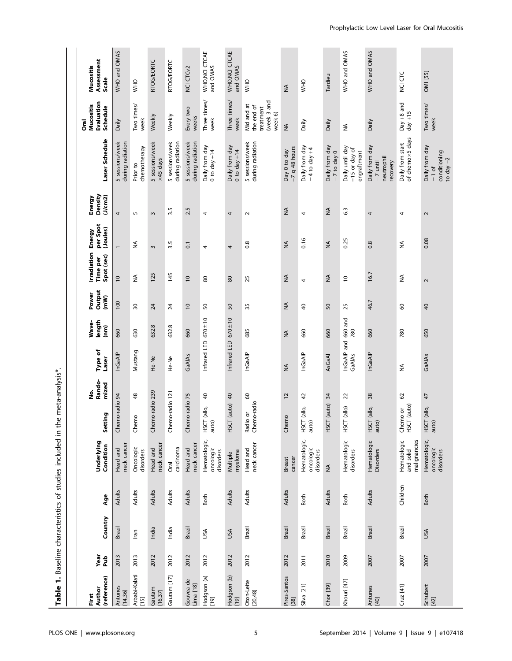| <b>Table</b>                   |             |         |             | 1. Baseline characteristics of studies included in the | $\omega$                                      | meta-analysis*.      |                       |                         |                         |                                              |                                |                              |                                                          |                                                                 |                                  |
|--------------------------------|-------------|---------|-------------|--------------------------------------------------------|-----------------------------------------------|----------------------|-----------------------|-------------------------|-------------------------|----------------------------------------------|--------------------------------|------------------------------|----------------------------------------------------------|-----------------------------------------------------------------|----------------------------------|
| (reference)<br>Author<br>First | Year<br>٩u۹ | Country | Age         | <b>Underlying</b><br>Condition                         | ng<br>E<br>Setti                              | Rando-<br>mized<br>ġ | Type of<br>Laser      | length<br>Wave-<br>(nm) | Output<br>(mW)<br>Power | Irradiation<br>Spot (sec)<br><b>Time per</b> | per Spot<br>(Joules)<br>Energy | Density<br>(J/cm2)<br>Energy | Laser Schedule                                           | Evaluation<br>Mucositis<br>Schedule<br><b>Oral</b>              | Assessment<br>Mucositis<br>Scale |
| Antunes<br>[14,36]             | 2013        | Brazil  | Adults      | neck cancer<br>Head and                                | Chemo-radio 94                                |                      | InGaAIP               | 660                     | 100                     | $\overline{0}$                               | $\overline{\phantom{0}}$       | 4                            | 5 sessions/week<br>during radiation                      | Daily                                                           | WHO and OMAS                     |
| Arbabi-Kalati<br>[15]          | 2013        | lran    | Adults      | Oncologic<br>disorders                                 | $\frac{8}{3}$<br>Chemo                        |                      | Mustang               | 630                     | 50                      | ₹                                            | ≨                              | $\overline{5}$               | chemotherapy<br>Prior to                                 | Two times/<br>week                                              | <b>OHM</b>                       |
| Gautam<br>[16, 37]             | 2012        | India   | Adults      | neck cancer<br>Head and                                | Chemo-radio 239                               |                      | He-Ne                 | 632.8                   | $\overline{24}$         | 125                                          | $\sim$                         | $\sim$                       | 5 sessions/week<br>$\times$ 45 days                      | Weekly                                                          | <b>RTOG/EORTC</b>                |
| Gautam [17]                    | 2012        | India   | Adults      | carcinoma<br>Oral                                      | Chemo-radio 121                               |                      | He-Ne                 | 632.8                   | $\overline{24}$         | 145                                          | 3.5                            | 3.5                          | 5 sessions/week<br>during radiation                      | Weekly                                                          | <b>RTOG/EORTC</b>                |
| Gouvea de<br>Lima [18]         | 2012        | Brazil  | Adults      | neck cancer<br>Head and                                | 75<br>Chemo-radio                             |                      | GaAIAs                | 660                     | $\overline{0}$          | $\overline{0}$                               | $\overline{c}$                 | 2.5                          | 5 sessions/week<br>during radiation                      | Every two<br>weeks                                              | NCI CTCv2                        |
| Hodgson (a)<br>[19]            | 2012        | USA     | <b>Both</b> | Hematologic,<br>oncologic<br>disorders                 | $\overline{a}$<br>allo,<br>HSCT<br>auto)      |                      | Infrared LED          | $670 + 10$              | 50                      | 80                                           | 4                              | 4                            | Daily from day<br>$0$ to day +14                         | Three times/<br>week                                            | WHO, NCI CTCAE<br>and OMAS       |
| Hodgson (b)<br>$[19]$          | 2012        | USA     | Adults      | myeloma<br>Multiple                                    | $\overline{a}$<br>(auto)<br>HSCT              |                      | Infrared LED          | $670 + 10$              | $50\,$                  | 80                                           | 4                              | 4                            | Daily from day<br>$0$ to day $+14$                       | Three times/<br>week                                            | WHO, NCI CTCAE<br>and OMAS       |
| Oton-Leite<br>[20, 48]         | 2012        | Brazil  | Adults      | neck cancer<br>Head and                                | $\pmb{\mathbb{S}}$<br>Chemo-radio<br>Radio or |                      | InGaAlP               | 685                     | 35                      | 25                                           | 0.8                            | $\sim$                       | during radiation<br>5 sessions/week                      | (week 3 and<br>Mid and at<br>the end of<br>treatment<br>week 6) | OHW                              |
| Pires-Santos<br>$[38]$         | 2012        | Brazil  | Adults      | cancer<br><b>Breast</b>                                | 12<br>Chemo                                   | $\lessgtr$           |                       | $\lessgtr$              | $\lessgtr$              | $\lessgtr$                                   | $\lessgtr$                     | $\lessgtr$                   | $+7$ q 48 hours<br>Day 0 to day                          | $\lessgtr$                                                      | $\lessgtr$                       |
| Silva [21]                     | 2011        | Brazil  | <b>Both</b> | Hematologic,<br>oncologic<br>disorders                 | 42<br>allo,<br>HSCT<br>auto)                  |                      | InGaAIP               | 660                     | $\overline{a}$          | $\overline{a}$                               | 0.16                           | 4                            | Daily from day<br>$-4$ to day $+4$                       | Daily                                                           | OHN                              |
| Chor [39]                      | 2010        | Brazil  | Adults      | $\lessgtr$                                             | 24<br>(auto)<br>HSCT                          |                      | AsGaAl                | 660                     | 50                      | ₹                                            | ≨                              | ₹                            | Daily from day<br>$-7$ to day 0                          | Daily                                                           | Tardieu                          |
| Khouri [47]                    | 2009        | Brazil  | Both        | Hematologic<br>disorders                               | ನ<br>(allo)<br>HSCT                           |                      | InGaAIP and<br>GaAIAs | 660 and<br>780          | 25                      | $\overline{c}$                               | 0.25                           | 63                           | Daily until day<br>+15 or day of<br>engraftment          | ≨                                                               | WHO and OMAS                     |
| Antunes<br>[40]                | 2007        | Brazil  | Adults      | Hematologic<br>Disorders                               | 38<br>allo,<br>HSCT<br>auto)                  |                      | InGaAIP               | 660                     | 46.7                    | 16.7                                         | 0.8                            | 4                            | Daily from day<br>neutrophil<br>recovery<br>$-7$ until   | Daily                                                           | WHO and OMAS                     |
| Cruz $[41]$                    | 2007        | Brazil  | Children    | malignancies<br>Hematologic<br>and solid               | 3<br>(auto)<br>TO OF<br>준이<br>나오다             | ≨                    |                       | 780                     | 8                       | ₹                                            | ₹                              | 4                            | of chemo x5 days<br>Daily from start                     | $Day + 8$ and<br>$day +15$                                      | NCI CTC                          |
| Schubert<br>$[42]$             | 2007        | USA     | Both        | Hematologic,<br>oncologic<br>disorders                 | 47<br>(allo,<br>auto)<br>HSCT                 |                      | GaAIAs                | 650                     | $\overline{4}$          | $\overline{\mathbf{c}}$                      | 0.08                           | 2                            | Daily from day<br>conditioning<br>to day $+2$<br>$-1$ of | Two times/<br>week                                              | OMI [55]                         |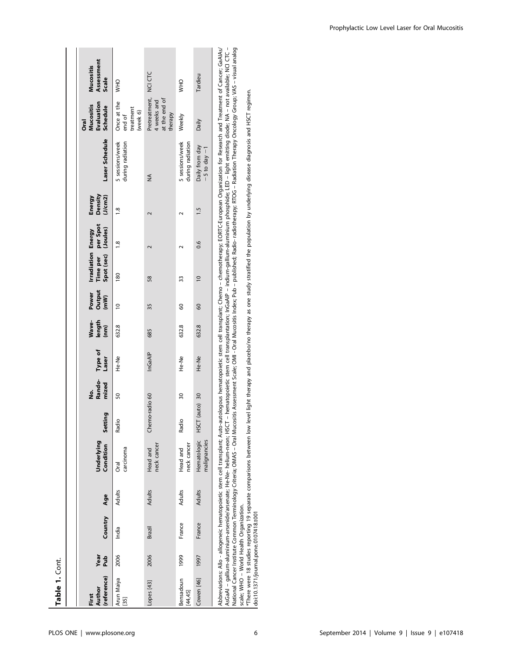| Table 1. Cont.                                         |             |         |        |                                                                        |                     |                      |                  |                         |                         |                                                                                   |               |                              |                                                                                                                                                                                                                                                                                                                                                                              |                                                           |                                         |
|--------------------------------------------------------|-------------|---------|--------|------------------------------------------------------------------------|---------------------|----------------------|------------------|-------------------------|-------------------------|-----------------------------------------------------------------------------------|---------------|------------------------------|------------------------------------------------------------------------------------------------------------------------------------------------------------------------------------------------------------------------------------------------------------------------------------------------------------------------------------------------------------------------------|-----------------------------------------------------------|-----------------------------------------|
|                                                        |             |         |        |                                                                        |                     |                      |                  |                         |                         |                                                                                   |               |                              |                                                                                                                                                                                                                                                                                                                                                                              |                                                           |                                         |
| (reference)<br>Author<br>First                         | Pub<br>Year | Country | Age    | Underlying<br>Condition                                                | ing<br>Setti        | Rando-<br>mized<br>ġ | Type of<br>Laser | Wave-<br>length<br>(nm) | Output<br>(mW)<br>Power | Time per per Spot<br>Spot (sec) (Joules)<br><b>Irradiation Energy</b><br>Time per |               | Density<br>(J/cm2)<br>Energy | Laser Schedule                                                                                                                                                                                                                                                                                                                                                               | Evaluation<br><b>Mucositis</b><br>Schedule<br><b>Oral</b> | Assessment<br><b>Mucositis</b><br>Scale |
| Arun Maiya<br>$\begin{bmatrix} 35 \\ -2 \end{bmatrix}$ | 2006        | India   | Adults | carcinoma<br>Oral                                                      | Radio               | 50                   | <b>He-Ne</b>     | 632.8                   | $\approx$               | 180                                                                               | $\frac{8}{1}$ | $\frac{8}{1}$                | 5 sessions/week<br>during radiation                                                                                                                                                                                                                                                                                                                                          | Once at the<br>treatment<br>(week 6)<br>end of            | <b>OHN</b>                              |
| -opes [43]                                             | 2006        | Brazil  | Adults | neck cancer<br>Head and                                                | no-radio 60<br>Chem |                      | InGaAIP          | 685                     | 35                      | 58                                                                                | $\sim$        | $\sim$                       | ≸                                                                                                                                                                                                                                                                                                                                                                            | Pretreatment,<br>at the end of<br>4 weeks and<br>therapy  | NCI CTC                                 |
| Bensadoun<br>[44, 45]                                  | 1999        | France  | Adults | neck cancer<br>Head and                                                | Radio               | $\overline{30}$      | He-Ne            | 632.8                   | 8                       | 33                                                                                |               |                              | 5 sessions/week<br>during radiation                                                                                                                                                                                                                                                                                                                                          | Weekly                                                    | OHW                                     |
| Cowen [46]                                             | 1997        | France  | Adults | Hematologic<br>malignancies                                            | (auto) 30<br>HSCT   |                      | He-Ne            | 632.8                   | 8                       | $\overline{0}$                                                                    | 0.6           | 1.5                          | Daily from day<br>$-5$ to day $-1$                                                                                                                                                                                                                                                                                                                                           | Daily                                                     | Tardieu                                 |
|                                                        |             |         |        | AscaAl – aallium-aluminium-arsenide/arsenate: He-Ne- helium-neon: HSCT |                     |                      |                  |                         |                         |                                                                                   |               |                              | Abbreviations: Allo - allogeneic hematopoietic stem cell transplant; Auto-autologous hematopoietic stem cell transplant; Chemo - chemotherapy; EORTC-European Organization for Research and Treatment of Cancer; GaAlAs/<br>- hematopoietic stem cell transplantation: InCaAID - indium-gellium-gellium phosphide: IED - light emitting diode: NA - pot available: NCI CTC - |                                                           |                                         |

AsGaAI – gallium-aluminium-arsenide/arsenate; He-Ne- helium-neon; HSCT – hematopoietic stem cell transplantation; InGaAIP – indium-gallium-phosphide; LED – light emitting diode; NA – not available; NCI CTC –<br>National Cance AsGaAI – gallium-aluminium-arsenide/arsenate; He-Ne- helium-neon; HSCT – hematopoietic stem cell transplantation; InGaAIP – indium-gallium-aluminium phosphide; LED – light emitting diode; NA – not available; NCI CTC – National Cancer Institute Common Terminology Criteria; OMAS – Oral Mucositis Assessment Scale; OMI - Oral Mucositis Index; Pub – published; Radio- radiotherapy; RTOG – Radiation Therapy Oncology Group; VAS – visual analog scale; WHO – World Health Organization.

\*There were 18 studies reporting 19 separate comparisons between low level light therapy and placebo/no therapy as one study stratified the population by underlying disease diagnosis and HSCT regimen. doi:10.1371/journal.pone.0107418.t001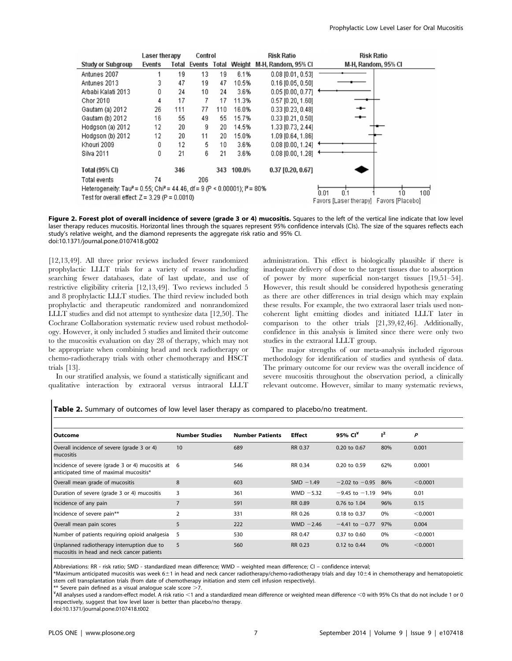|                                                                                                    | Laser therapy |       | Control |     |                     | <b>Risk Ratio</b>     | <b>Risk Ratio</b>                                               |
|----------------------------------------------------------------------------------------------------|---------------|-------|---------|-----|---------------------|-----------------------|-----------------------------------------------------------------|
| <b>Study or Subgroup</b>                                                                           | Events        | Total |         |     | Events Total Weight | M-H. Random, 95% CI   | M-H, Random, 95% CI                                             |
| Antunes 2007                                                                                       |               | 19    | 13      | 19  | 6.1%                | $0.08$ [0.01, 0.53]   |                                                                 |
| Antunes 2013                                                                                       | 3             | 47    | 19      | 47  | 10.5%               | $0.16$ [0.05, 0.50]   |                                                                 |
| Arbabi Kalati 2013                                                                                 | Û             | 24    | 10      | 24  | 3.6%                | $0.05$ [0.00, 0.77]   |                                                                 |
| Chor 2010                                                                                          | 4             | 17    | 7       | 17  | 11.3%               | $0.57$ [0.20, 1.60]   |                                                                 |
| Gautam (a) 2012                                                                                    | 26            | 111   | 77      | 110 | 16.0%               | $0.33$ [0.23, 0.48]   |                                                                 |
| Gautam (b) 2012                                                                                    | 16            | 55    | 49      | 55  | 15.7%               | $0.33$ [0.21, 0.50]   | ᆠ                                                               |
| Hodgson (a) 2012                                                                                   | 12            | 20    | 9       | 20  | 14.5%               | 1.33 [0.73, 2.44]     |                                                                 |
| Hodason (b) 2012                                                                                   | 12            | 20    | 11      | 20  | 15.0%               | 1.09 [0.64, 1.86]     |                                                                 |
| Khouri 2009                                                                                        | Ū             | 12    | 5       | 10  | 3.6%                | $0.08$ [0.00, 1.24]   |                                                                 |
| Silva 2011                                                                                         | Ū             | 21    | 6       | 21  | 3.6%                | $0.08$ $[0.00, 1.28]$ |                                                                 |
| <b>Total (95% CI)</b>                                                                              |               | 346   |         | 343 | 100.0%              | $0.37$ [0.20, 0.67]   |                                                                 |
| Total events                                                                                       | 74            |       | 206     |     |                     |                       |                                                                 |
| Heterogeneity: Tau <sup>2</sup> = 0.55; Chi <sup>2</sup> = 44.46, df = 9 (P < 0.00001); $P = 80\%$ |               |       |         |     |                     |                       | 0 <sup>1</sup>                                                  |
| Test for overall effect: $Z = 3.29$ (P = 0.0010)                                                   |               |       |         |     |                     |                       | 100<br>0.01<br>10<br>Favors [Laser therapy]<br>Favors [Placebo] |
|                                                                                                    |               |       |         |     |                     |                       |                                                                 |

Figure 2. Forest plot of overall incidence of severe (grade 3 or 4) mucositis. Squares to the left of the vertical line indicate that low level laser therapy reduces mucositis. Horizontal lines through the squares represent 95% confidence intervals (CIs). The size of the squares reflects each study's relative weight, and the diamond represents the aggregate risk ratio and 95% CI. doi:10.1371/journal.pone.0107418.g002

[12,13,49]. All three prior reviews included fewer randomized prophylactic LLLT trials for a variety of reasons including searching fewer databases, date of last update, and use of restrictive eligibility criteria [12,13,49]. Two reviews included 5 and 8 prophylactic LLLT studies. The third review included both prophylactic and therapeutic randomized and nonrandomized LLLT studies and did not attempt to synthesize data [12,50]. The Cochrane Collaboration systematic review used robust methodology. However, it only included 5 studies and limited their outcome to the mucositis evaluation on day 28 of therapy, which may not be appropriate when combining head and neck radiotherapy or chemo-radiotherapy trials with other chemotherapy and HSCT trials [13].

In our stratified analysis, we found a statistically significant and qualitative interaction by extraoral versus intraoral LLLT

administration. This effect is biologically plausible if there is inadequate delivery of dose to the target tissues due to absorption of power by more superficial non-target tissues [19,51–54]. However, this result should be considered hypothesis generating as there are other differences in trial design which may explain these results. For example, the two extraoral laser trials used noncoherent light emitting diodes and initiated LLLT later in comparison to the other trials [21,39,42,46]. Additionally, confidence in this analysis is limited since there were only two studies in the extraoral LLLT group.

The major strengths of our meta-analysis included rigorous methodology for identification of studies and synthesis of data. The primary outcome for our review was the overall incidence of severe mucositis throughout the observation period, a clinically relevant outcome. However, similar to many systematic reviews,

Table 2. Summary of outcomes of low level laser therapy as compared to placebo/no treatment.

| Outcome                                                                                     | <b>Number Studies</b> | <b>Number Patients</b> | <b>Effect</b> | 95% $Clx$          | $1^2$ | P        |
|---------------------------------------------------------------------------------------------|-----------------------|------------------------|---------------|--------------------|-------|----------|
| Overall incidence of severe (grade 3 or 4)<br>mucositis                                     | 10                    | 689                    | RR 0.37       | $0.20$ to $0.67$   | 80%   | 0.001    |
| Incidence of severe (grade 3 or 4) mucositis at 6<br>anticipated time of maximal mucositis* |                       | 546                    | RR 0.34       | 0.20 to 0.59       | 62%   | 0.0001   |
| Overall mean grade of mucositis                                                             | 8                     | 603                    | $SMD - 1.49$  | $-2.02$ to $-0.95$ | 86%   | < 0.0001 |
| Duration of severe (grade 3 or 4) mucositis                                                 | 3                     | 361                    | WMD $-5.32$   | $-9.45$ to $-1.19$ | 94%   | 0.01     |
| Incidence of any pain                                                                       | 7                     | 591                    | RR 0.89       | 0.76 to 1.04       | 96%   | 0.15     |
| Incidence of severe pain**                                                                  | $\overline{2}$        | 331                    | RR 0.26       | 0.18 to 0.37       | 0%    | < 0.0001 |
| Overall mean pain scores                                                                    | 5                     | 222                    | WMD $-2.46$   | $-4.41$ to $-0.77$ | 97%   | 0.004    |
| Number of patients requiring opioid analgesia                                               | 5                     | 530                    | RR 0.47       | $0.37$ to $0.60$   | 0%    | < 0.0001 |
| Unplanned radiotherapy interruption due to<br>mucositis in head and neck cancer patients    | 5                     | 560                    | RR 0.23       | 0.12 to 0.44       | 0%    | < 0.0001 |

Abbreviations: RR - risk ratio; SMD - standardized mean difference; WMD – weighted mean difference; CI – confidence interval;

\*Maximum anticipated mucositis was week 6±1 in head and neck cancer radiotherapy/chemo-radiotherapy trials and day 10±4 in chemotherapy and hematopoietic stem cell transplantation trials (from date of chemotherapy initiation and stem cell infusion respectively).

 $**$  Severe pain defined as a visual analogue scale score  $>7$ .

 $*$ All analyses used a random-effect model. A risk ratio <1 and a standardized mean difference or weighted mean difference <0 with 95% CIs that do not include 1 or 0 respectively, suggest that low level laser is better than placebo/no therapy.

doi:10.1371/journal.pone.0107418.t002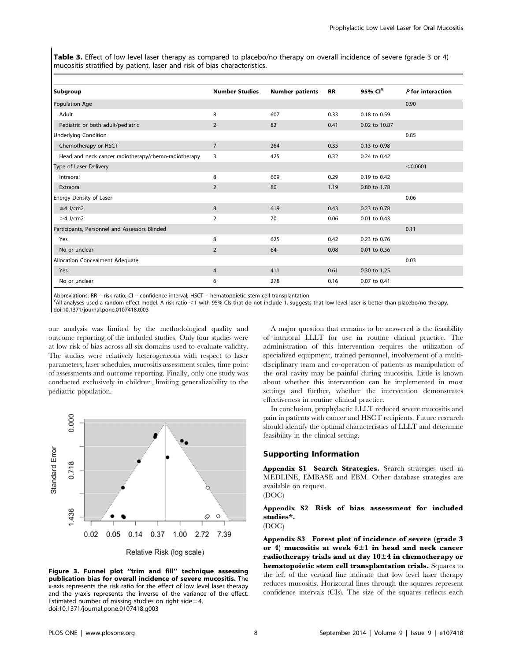Table 3. Effect of low level laser therapy as compared to placebo/no therapy on overall incidence of severe (grade 3 or 4) mucositis stratified by patient, laser and risk of bias characteristics.

| Subgroup                                             | <b>Number Studies</b> | <b>Number patients</b> | <b>RR</b> | 95% CI <sup>¥</sup> | $P$ for interaction |
|------------------------------------------------------|-----------------------|------------------------|-----------|---------------------|---------------------|
| Population Age                                       |                       |                        |           |                     | 0.90                |
| Adult                                                | 8                     | 607                    | 0.33      | 0.18 to 0.59        |                     |
| Pediatric or both adult/pediatric                    | 2                     | 82                     | 0.41      | 0.02 to 10.87       |                     |
| <b>Underlying Condition</b>                          |                       |                        |           |                     | 0.85                |
| Chemotherapy or HSCT                                 | $\overline{7}$        | 264                    | 0.35      | 0.13 to 0.98        |                     |
| Head and neck cancer radiotherapy/chemo-radiotherapy | 3                     | 425                    | 0.32      | 0.24 to 0.42        |                     |
| Type of Laser Delivery                               |                       |                        |           |                     | < 0.0001            |
| Intraoral                                            | 8                     | 609                    | 0.29      | 0.19 to 0.42        |                     |
| Extraoral                                            | 2                     | 80                     | 1.19      | 0.80 to 1.78        |                     |
| Energy Density of Laser                              |                       |                        |           |                     | 0.06                |
| $\leq$ 4 J/cm2                                       | 8                     | 619                    | 0.43      | 0.23 to 0.78        |                     |
| $>4$ J/cm2                                           | 2                     | 70                     | 0.06      | 0.01 to 0.43        |                     |
| Participants, Personnel and Assessors Blinded        |                       |                        |           |                     | 0.11                |
| Yes                                                  | 8                     | 625                    | 0.42      | 0.23 to 0.76        |                     |
| No or unclear                                        | 2                     | 64                     | 0.08      | 0.01 to 0.56        |                     |
| Allocation Concealment Adequate                      |                       |                        |           |                     | 0.03                |
| Yes                                                  | 4                     | 411                    | 0.61      | 0.30 to 1.25        |                     |
| No or unclear                                        | 6                     | 278                    | 0.16      | 0.07 to 0.41        |                     |

Abbreviations: RR – risk ratio; CI – confidence interval; HSCT – hematopoietic stem cell transplantation.

¥ All analyses used a random-effect model. A risk ratio ,1 with 95% CIs that do not include 1, suggests that low level laser is better than placebo/no therapy. doi:10.1371/journal.pone.0107418.t003

our analysis was limited by the methodological quality and outcome reporting of the included studies. Only four studies were at low risk of bias across all six domains used to evaluate validity. The studies were relatively heterogeneous with respect to laser parameters, laser schedules, mucositis assessment scales, time point of assessments and outcome reporting. Finally, only one study was conducted exclusively in children, limiting generalizability to the pediatric population.



Figure 3. Funnel plot ''trim and fill'' technique assessing publication bias for overall incidence of severe mucositis. The x-axis represents the risk ratio for the effect of low level laser therapy and the y-axis represents the inverse of the variance of the effect. Estimated number of missing studies on right side  $=$  4. doi:10.1371/journal.pone.0107418.g003

A major question that remains to be answered is the feasibility of intraoral LLLT for use in routine clinical practice. The administration of this intervention requires the utilization of specialized equipment, trained personnel, involvement of a multidisciplinary team and co-operation of patients as manipulation of the oral cavity may be painful during mucositis. Little is known about whether this intervention can be implemented in most settings and further, whether the intervention demonstrates effectiveness in routine clinical practice.

In conclusion, prophylactic LLLT reduced severe mucositis and pain in patients with cancer and HSCT recipients. Future research should identify the optimal characteristics of LLLT and determine feasibility in the clinical setting.

## Supporting Information

Appendix S1 Search Strategies. Search strategies used in MEDLINE, EMBASE and EBM. Other database strategies are available on request.

(DOC)

#### Appendix S2 Risk of bias assessment for included studies\*. (DOC)

Appendix S3 Forest plot of incidence of severe (grade 3 or 4) mucositis at week 6±1 in head and neck cancer radiotherapy trials and at day 10±4 in chemotherapy or hematopoietic stem cell transplantation trials. Squares to the left of the vertical line indicate that low level laser therapy reduces mucositis. Horizontal lines through the squares represent confidence intervals (CIs). The size of the squares reflects each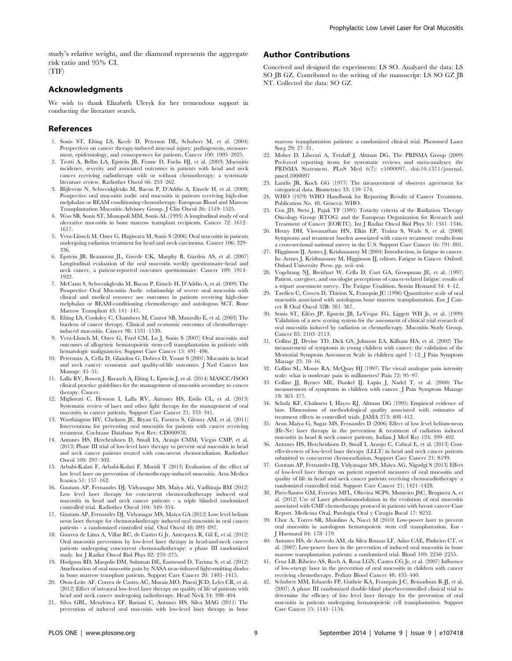study's relative weight, and the diamond represents the aggregate risk ratio and 95% CI. (TIF)

## Acknowledgments

We wish to thank Elizabeth Uleryk for her tremendous support in conducting the literature search.

#### References

- 1. Sonis ST, Elting LS, Keefe D, Peterson DE, Schubert M, et al. (2004) Perspectives on cancer therapy-induced mucosal injury: pathogenesis, measurement, epidemiology, and consequences for patients. Cancer 100: 1995–2025.
- 2. Trotti A, Bellm LA, Epstein JB, Frame D, Fuchs HJ, et al. (2003) Mucositis incidence, severity and associated outcomes in patients with head and neck cancer receiving radiotherapy with or without chemotherapy: a systematic literature review. Radiother Oncol 66: 253–262.
- 3. Blijlevens N, Schwenkglenks M, Bacon P, D'Addio A, Einsele H, et al. (2008) Prospective oral mucositis audit: oral mucositis in patients receiving high-dose melphalan or BEAM conditioning chemotherapy–European Blood and Marrow Transplantation Mucositis Advisory Group. J Clin Oncol 26: 1519–1525.
- 4. Woo SB, Sonis ST, Monopoli MM, Sonis AL (1993) A longitudinal study of oral ulcerative mucositis in bone marrow transplant recipients. Cancer 72: 1612– 1617.
- 5. Vera-Llonch M, Oster G, Hagiwara M, Sonis S (2006) Oral mucositis in patients undergoing radiation treatment for head and neck carcinoma. Cancer 106: 329– 336.
- 6. Epstein JB, Beaumont JL, Gwede CK, Murphy B, Garden AS, et al. (2007) Longitudinal evaluation of the oral mucositis weekly questionnaire-head and neck cancer, a patient-reported outcomes questionnaire. Cancer 109: 1914– 1922.
- 7. McCann S, Schwenkglenks M, Bacon P, Einsele H, D'Addio A, et al. (2009) The Prospective Oral Mucositis Audit: relationship of severe oral mucositis with clinical and medical resource use outcomes in patients receiving high-dose melphalan or BEAM-conditioning chemotherapy and autologous SCT. Bone Marrow Transplant 43: 141–147.
- 8. Elting LS, Cooksley C, Chambers M, Cantor SB, Manzullo E, et al. (2003) The burdens of cancer therapy. Clinical and economic outcomes of chemotherapyinduced mucositis. Cancer 98: 1531–1539.
- 9. Vera-Llonch M, Oster G, Ford CM, Lu J, Sonis S (2007) Oral mucositis and outcomes of allogeneic hematopoietic stem-cell transplantation in patients with hematologic malignancies. Support Care Cancer 15: 491–496.
- 10. Peterman A, Cella D, Glandon G, Dobrez D, Yount S (2001) Mucositis in head and neck cancer: economic and quality-of-life outcomes. J Natl Cancer Inst Monogr: 45–51.
- 11. Lalla RV, Bowen J, Barasch A, Elting L, Epstein J, et al. (2014) MASCC/ISOO clinical practice guidelines for the management of mucositis secondary to cancer therapy. Cancer.
- 12. Migliorati C, Hewson I, Lalla RV, Antunes HS, Estilo CL, et al. (2013) Systematic review of laser and other light therapy for the management of oral mucositis in cancer patients. Support Care Cancer 21: 333–341.
- 13. Worthington HV, Clarkson JE, Bryan G, Furness S, Glenny AM, et al. (2011) Interventions for preventing oral mucositis for patients with cancer receiving treatment. Cochrane Database Syst Rev: CD000978.
- 14. Antunes HS, Herchenhorn D, Small IA, Araujo CMM, Viegas CMP, et al. (2013) Phase III trial of low-level laser therapy to prevent oral mucositis in head and neck cancer patients treated with concurrent chemoradiation. Radiother Oncol 109: 297–302.
- 15. Arbabi-Kalati F, Arbabi-Kalati F, Moridi T (2013) Evaluation of the effect of low level laser on prevention of chemotherapy-induced mucositis. Acta Medica Iranica 51: 157–162.
- 16. Gautam AP, Fernandes DJ, Vidyasagar MS, Maiya AG, Vadhiraja BM (2012) Low level laser therapy for concurrent chemoradiotherapy induced oral mucositis in head and neck cancer patients - a triple blinded randomized controlled trial. Radiother Oncol 104: 349–354.
- 17. Gautam AP, Fernandes DJ, Vidyasagar MS, Maiya GA (2012) Low level helium neon laser therapy for chemoradiotherapy induced oral mucositis in oral cancer patients - a randomized controlled trial. Oral Oncol 48: 893–897.
- 18. Gouvea de Lima A, Villar RC, de Castro G Jr, Antequera R, Gil E, et al. (2012) Oral mucositis prevention by low-level laser therapy in head-and-neck cancer patients undergoing concurrent chemoradiotherapy: a phase III randomized study. Int J Radiat Oncol Biol Phys 82: 270–275.
- 19. Hodgson BD, Margolis DM, Salzman DE, Eastwood D, Tarima S, et al. (2012) Amelioration of oral mucositis pain by NASA near-infrared light-emitting diodes in bone marrow transplant patients. Support Care Cancer 20: 1405–1415.
- 20. Oton-Leite AF, Correa de Castro AC, Morais MO, Pinezi JCD, Leles CR, et al. (2012) Effect of intraoral low-level laser therapy on quality of life of patients with head and neck cancer undergoing radiotherapy. Head Neck 34: 398–404.
- 21. Silva GBL, Mendonca EF, Bariani C, Antunes HS, Silva MAG (2011) The prevention of induced oral mucositis with low-level laser therapy in bone

## Author Contributions

Conceived and designed the experiments: LS SO. Analyzed the data: LS SO JB GZ. Contributed to the writing of the manuscript: LS SO GZ JB NT. Collected the data: SO GZ.

marrow transplantation patients: a randomized clinical trial. Photomed Laser Surg 29: 27–31.

- 22. Moher D, Liberati A, Tetzlaff J, Altman DG, The PRISMA Group (2009) Preferred reporting items for systematic reviews and meta-analyses: the PRISMA Statement. PLoS Med 6(7): e1000097. doi:10.1371/journal. pmed.1000097
- 23. Landis JR, Koch GG (1977) The measurement of observer agreement for categorical data. Biometrics 33: 159–174.
- 24. WHO (1979) WHO Handbook for Reporting Results of Cancer Treatment. Publication No. 48. Geneva: WHO.
- 25. Cox JD, Stetz J, Pajak TF (1995) Toxicity criteria of the Radiation Therapy Oncology Group (RTOG) and the European Organization for Research and Treatment of Cancer (EORTC). Int J Radiat Oncol Biol Phys 31: 1341–1346.
- 26. Henry DH, Viswanathan HN, Elkin EP, Traina S, Wade S, et al. (2008) Symptoms and treatment burden associated with cancer treatment: results from a cross-sectional national survey in the U.S. Support Care Cancer 16: 791–801.
- 27. Higginson IJ, Armes J, Krishnasamy M (2004) Introduction, in fatigue in cancer. In: Armes J, Krishnasamy M, Higginson IJ, editors. Fatigue in Cancer. Oxford: Oxford University Press. pp. xvii–xxi.
- 28. Vogelzang NJ, Breitbart W, Cella D, Curt GA, Groopman JE, et al. (1997) Patient, caregiver, and oncologist perceptions of cancer-related fatigue: results of a tripart assessment survey. The Fatigue Coalition. Semin Hematol 34: 4–12.
- 29. Tardieu C, Cowen D, Thirion X, Franquin JC (1996) Quantitative scale of oral mucositis associated with autologous bone marrow transplantation. Eur J Cancer B Oral Oncol 32B: 381–387.
- 30. Sonis ST, Eilers JP, Epstein JB, LeVeque FG, Liggett WH Jr, et al. (1999) Validation of a new scoring system for the assessment of clinical trial research of oral mucositis induced by radiation or chemotherapy. Mucositis Study Group. Cancer 85: 2103–2113.
- 31. Collins JJ, Devine TD, Dick GS, Johnson EA, Kilham HA, et al. (2002) The measurement of symptoms in young children with cancer: the validation of the Memorial Symptom Assessment Scale in children aged 7–12. J Pain Symptom Manage 23: 10–16.
- 32. Collins SL, Moore RA, McQuay HJ (1997) The visual analogue pain intensity scale: what is moderate pain in millimetres? Pain 72: 95–97.
- 33. Collins JJ, Byrnes ME, Dunkel IJ, Lapin J, Nadel T, et al. (2000) The measurement of symptoms in children with cancer. J Pain Symptom Manage 19: 363–377.
- 34. Schulz KF, Chalmers I, Hayes RJ, Altman DG (1995) Empirical evidence of bias. Dimensions of methodological quality associated with estimates of treatment effects in controlled trials. JAMA 273: 408–412.
- 35. Arun Maiya G, Sagar MS, Fernandes D (2006) Effect of low level helium-neon (He-Ne) laser therapy in the prevention & treatment of radiation induced mucositis in head & neck cancer patients. Indian J Med Res 124: 399–402.
- 36. Antunes HS, Herchenhorn D, Small I, Araujo C, Cabral E, et al. (2013) Costeffectiveness of low-level laser therapy (LLLT) in head and neck cancer patients submitted to concurrent chemoradiation. Support Care Cancer 21: S199.
- 37. Gautam AP, Fernandes DJ, Vidyasagar MS, Maiya AG, Nigudgi S (2013) Effect of low-level laser therapy on patient reported measures of oral mucositis and quality of life in head and neck cancer patients receiving chemoradiotherapy–a randomized controlled trial. Support Care Cancer 21: 1421–1428.
- 38. Pires-Santos GM, Ferreira MFL, Oliveira SCPS, Monteiro JSC, Brugnera A, et al. (2012) Use of Laser photobiomodulation in the evolution of oral mucositis associated with CMF chemotherapy protocol in patients with breast cancer-Case Report. Medicina Oral, Patologia Oral y Cirugia Bucal 17: S252.
- 39. Chor A, Torres SR, Maiolino A, Nucci M (2010) Low-power laser to prevent oral mucositis in autologous hematopoietic stem cell transplantation. Eur - J Haematol 84: 178–179.
- 40. Antunes HS, de Azevedo AM, da Silva Bouzas LF, Adao CAE, Pinheiro CT, et al. (2007) Low-power laser in the prevention of induced oral mucositis in bone marrow transplantation patients: a randomized trial. Blood 109: 2250–2255.
- 41. Cruz LB, Ribeiro AS, Rech A, Rosa LGN, Castro CG Jr, et al. (2007) Influence of low-energy laser in the prevention of oral mucositis in children with cancer receiving chemotherapy. Pediatr Blood Cancer 48: 435–440.
- 42. Schubert MM, Eduardo FP, Guthrie KA, Franquin J-C, Bensadoun R-JJ, et al. (2007) A phase III randomized double-blind placebo-controlled clinical trial to determine the efficacy of low level laser therapy for the prevention of oral mucositis in patients undergoing hematopoietic cell transplantation. Support Care Cancer 15: 1145–1154.